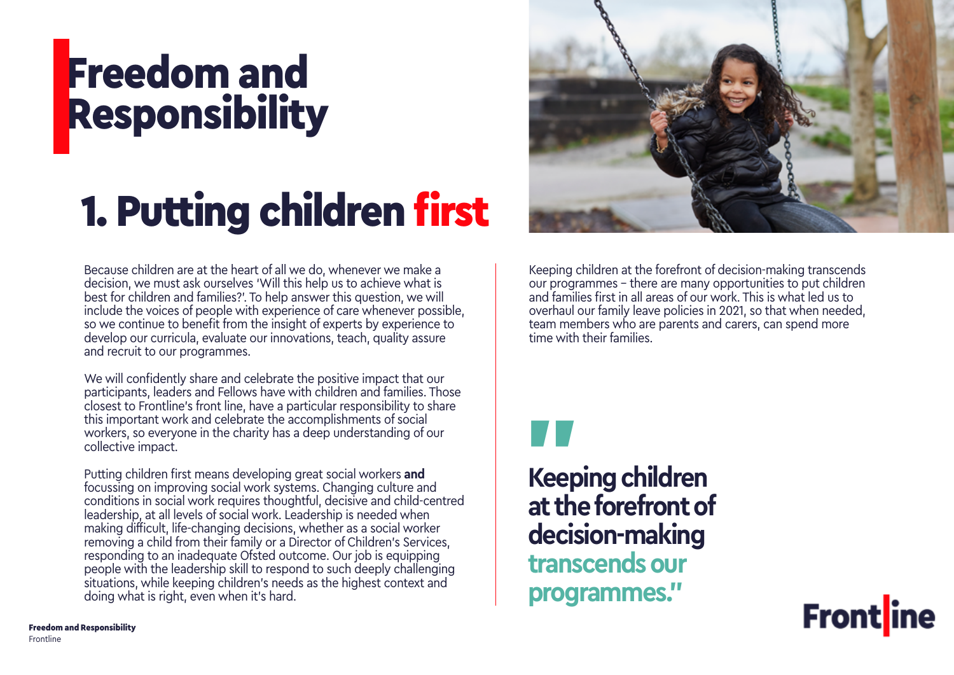## Freedom and Responsibility

# 1. Putting children first

Because children are at the heart of all we do, whenever we make a decision, we must ask ourselves 'Will this help us to achieve what is best for children and families?'. To help answer this question, we will include the voices of people with experience of care whenever possible, so we continue to benefit from the insight of experts by experience to develop our curricula, evaluate our innovations, teach, quality assure and recruit to our programmes.

We will confidently share and celebrate the positive impact that our participants, leaders and Fellows have with children and families. Those closest to Frontline's front line, have a particular responsibility to share this important work and celebrate the accomplishments of social workers, so everyone in the charity has a deep understanding of our collective impact.

Putting children first means developing great social workers **and** focussing on improving social work systems. Changing culture and conditions in social work requires thoughtful, decisive and child-centred leadership, at all levels of social work. Leadership is needed when making difficult, life-changing decisions, whether as a social worker removing a child from their family or a Director of Children's Services, responding to an inadequate Ofsted outcome. Our job is equipping people with the leadership skill to respond to such deeply challenging situations, while keeping children's needs as the highest context and doing what is right, even when it's hard.



Keeping children at the forefront of decision-making transcends our programmes – there are many opportunities to put children and families first in all areas of our work. This is what led us to overhaul our family leave policies in 2021, so that when needed, team members who are parents and carers, can spend more time with their families.



**Keeping children at the forefront of decision-making transcends our programmes."**

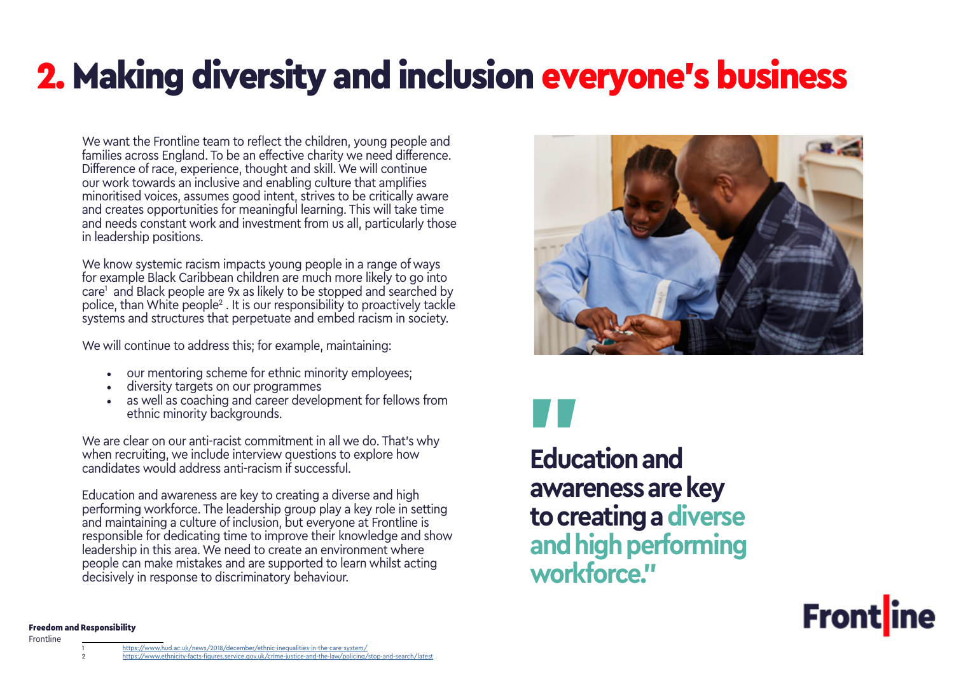## <span id="page-1-0"></span>2. Making diversity and inclusion everyone's business

We want the Frontline team to reflect the children, young people and families across England. To be an effective charity we need difference. Difference of race, experience, thought and skill. We will continue our work towards an inclusive and enabling culture that amplifies minoritised voices, assumes good intent, strives to be critically aware and creates opportunities for meaningful learning. This will take time and needs constant work and investment from us all, particularly those in leadership positions.

We know systemic racism impacts young people in a range of ways for example Black Caribbean children are much more likely to go into care1 and Black people are 9x as likely to be stopped and searched by police, than White people<sup>2</sup> . It is our responsibility to proactively tackle systems and structures that perpetuate and embed racism in society.

We will continue to address this; for example, maintaining:

- our mentoring scheme for ethnic minority employees;
- diversity targets on our programmes
- as well as coaching and career development for fellows from ethnic minority backgrounds.

We are clear on our anti-racist commitment in all we do. That's why when recruiting, we include interview questions to explore how candidates would address anti-racism if successful.

Education and awareness are key to creating a diverse and high performing workforce. The leadership group play a key role in setting and maintaining a culture of inclusion, but everyone at Frontline is responsible for dedicating time to improve their knowledge and show leadership in this area. We need to create an environment where people can make mistakes and are supported to learn whilst acting decisively in response to discriminatory behaviour.





**Education and awareness are key to creating a diverse and high performing workforce."**



### Freedom and Responsibility

Frontline

- Id.ac.uk/news/2018/december/ethnic-inequalities-in-the-care-syste
- 2 <https://www.ethnicity-facts-figures.service.gov.uk/crime-justice-and-the-law/policing/stop-and-search/latest>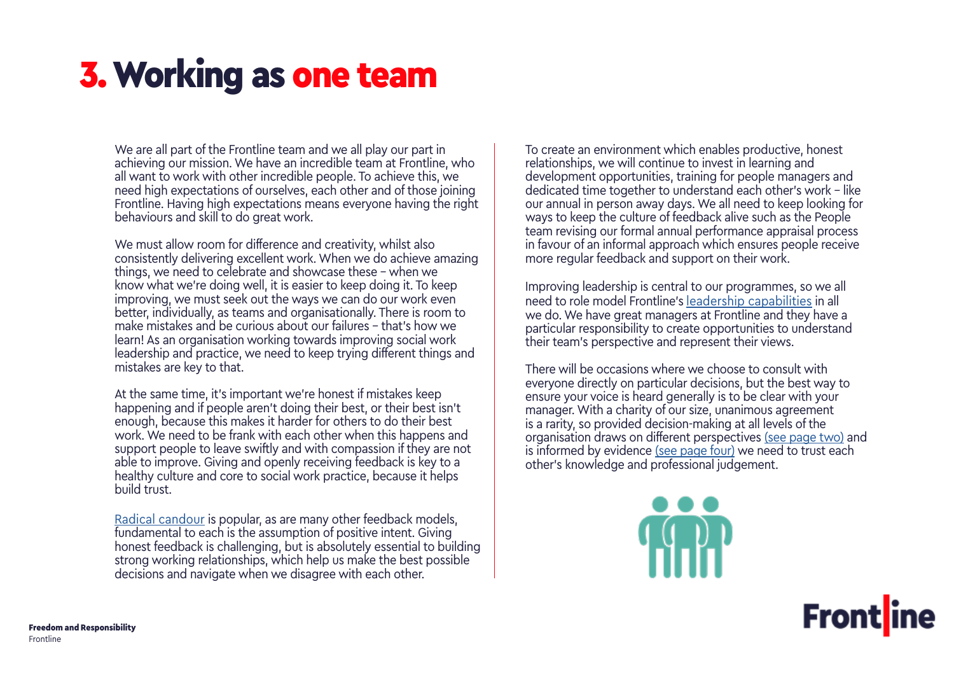### <span id="page-2-0"></span>3. Working as one team

We are all part of the Frontline team and we all play our part in achieving our mission. We have an incredible team at Frontline, who all want to work with other incredible people. To achieve this, we need high expectations of ourselves, each other and of those joining Frontline. Having high expectations means everyone having the right behaviours and skill to do great work.

We must allow room for difference and creativity, whilst also consistently delivering excellent work. When we do achieve amazing things, we need to celebrate and showcase these - when we know what we're doing well, it is easier to keep doing it. To keep improving, we must seek out the ways we can do our work even better, individually, as teams and organisationally. There is room to make mistakes and be curious about our failures – that's how we learn! As an organisation working towards improving social work leadership and practice, we need to keep trying different things and mistakes are key to that.

At the same time, it's important we're honest if mistakes keep happening and if people aren't doing their best, or their best isn't enough, because this makes it harder for others to do their best work. We need to be frank with each other when this happens and support people to leave swiftly and with compassion if they are not able to improve. Giving and openly receiving feedback is key to a healthy culture and core to social work practice, because it helps build trust.

[Radical candour](https://www.radicalcandor.com/our-approach/) is popular, as are many other feedback models, fundamental to each is the assumption of positive intent. Giving honest feedback is challenging, but is absolutely essential to building strong working relationships, which help us make the best possible decisions and navigate when we disagree with each other.

To create an environment which enables productive, honest relationships, we will continue to invest in learning and development opportunities, training for people managers and dedicated time together to understand each other's work – like our annual in person away days. We all need to keep looking for ways to keep the culture of feedback alive such as the People team revising our formal annual performance appraisal process in favour of an informal approach which ensures people receive more regular feedback and support on their work.

Improving leadership is central to our programmes, so we all need to role model Frontline's [leadership capabilities](https://thefrontline.org.uk/wp-content/uploads/2022/03/Leadership-capabilities.pdf) in all we do. We have great managers at Frontline and they have a particular responsibility to create opportunities to understand their team's perspective and represent their views.

There will be occasions where we choose to consult with everyone directly on particular decisions, but the best way to ensure your voice is heard generally is to be clear with your manager. With a charity of our size, unanimous agreement is a rarity, so provided decision-making at all levels of the organisation draws on [different perspectives](#page-1-0) [\(see page two\)](#page-1-0) and is informed by [evidence](#page-3-0) [\(see page four\)](#page-3-0) we need to trust each other's knowledge and professional judgement.



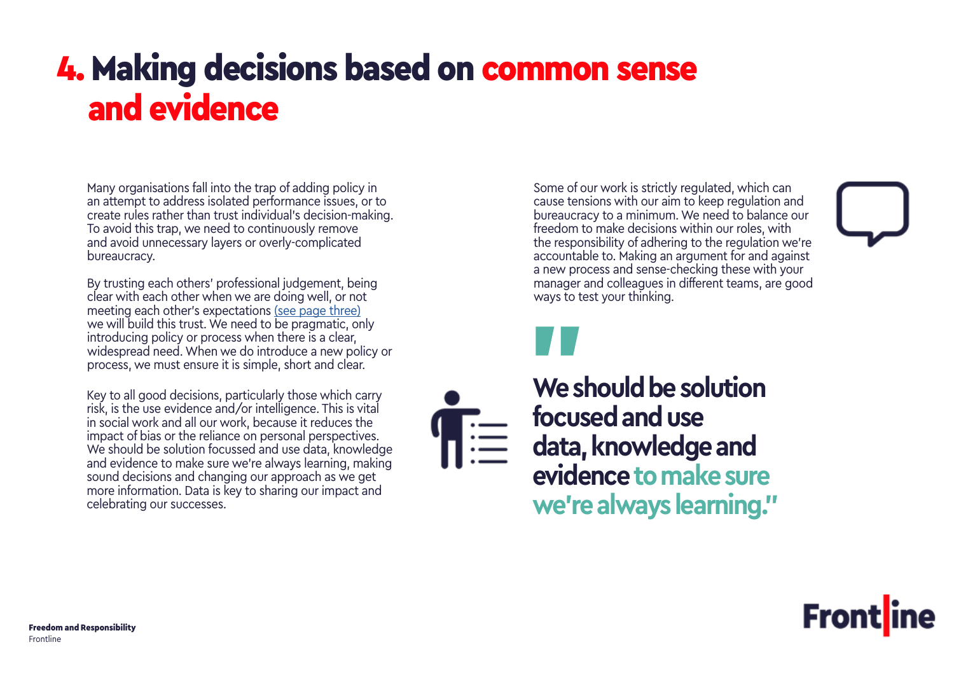### <span id="page-3-0"></span>4. Making decisions based on common sense and evidence

Many organisations fall into the trap of adding policy in an attempt to address isolated performance issues, or to create rules rather than trust individual's decision-making. To avoid this trap, we need to continuously remove and avoid unnecessary layers or overly-complicated bureaucracy.

By trusting each others' professional judgement, being clear with each other when we are doing well, or not meeting each other's [expectations](#page-2-0) [\(see page three\)](#page-2-0) we will build this trust. We need to be pragmatic, only introducing policy or process when there is a clear, widespread need. When we do introduce a new policy or process, we must ensure it is simple, short and clear.

Key to all good decisions, particularly those which carry risk, is the use evidence and/or intelligence. This is vital in social work and all our work, because it reduces the impact of bias or the reliance on personal perspectives. We should be solution focussed and use data, knowledge and evidence to make sure we're always learning, making sound decisions and changing our approach as we get more information. Data is key to sharing our impact and celebrating our successes.

Some of our work is strictly regulated, which can cause tensions with our aim to keep regulation and bureaucracy to a minimum. We need to balance our freedom to make decisions within our roles, with the responsibility of adhering to the regulation we're accountable to. Making an argument for and against a new process and sense-checking these with your manager and colleagues in different teams, are good ways to test your thinking.



**We should be solution focused and use data, knowledge and evidence to make sure we're always learning."** "<br>Wes